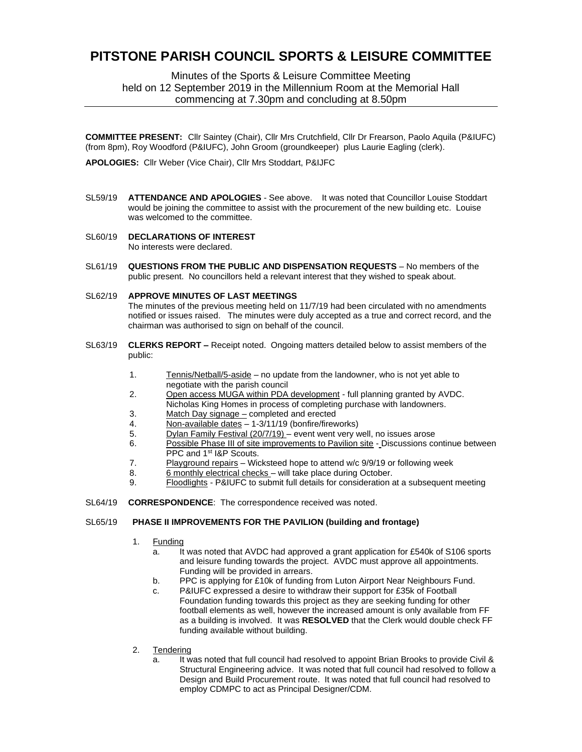# **PITSTONE PARISH COUNCIL SPORTS & LEISURE COMMITTEE**

Minutes of the Sports & Leisure Committee Meeting held on 12 September 2019 in the Millennium Room at the Memorial Hall commencing at 7.30pm and concluding at 8.50pm

**COMMITTEE PRESENT:** Cllr Saintey (Chair), Cllr Mrs Crutchfield, Cllr Dr Frearson, Paolo Aquila (P&IUFC) (from 8pm), Roy Woodford (P&IUFC), John Groom (groundkeeper) plus Laurie Eagling (clerk).

**APOLOGIES:** Cllr Weber (Vice Chair), Cllr Mrs Stoddart, P&IJFC

- SL59/19 **ATTENDANCE AND APOLOGIES**  See above. It was noted that Councillor Louise Stoddart would be joining the committee to assist with the procurement of the new building etc. Louise was welcomed to the committee.
- SL60/19 **DECLARATIONS OF INTEREST** No interests were declared.
- SL61/19 **QUESTIONS FROM THE PUBLIC AND DISPENSATION REQUESTS** No members of the public present. No councillors held a relevant interest that they wished to speak about.

#### SL62/19 **APPROVE MINUTES OF LAST MEETINGS**

The minutes of the previous meeting held on 11/7/19 had been circulated with no amendments notified or issues raised. The minutes were duly accepted as a true and correct record, and the chairman was authorised to sign on behalf of the council.

- SL63/19 **CLERKS REPORT –** Receipt noted. Ongoing matters detailed below to assist members of the public:
	- 1. Tennis/Netball/5-aside no update from the landowner, who is not yet able to negotiate with the parish council
	- 2. Open access MUGA within PDA development full planning granted by AVDC. Nicholas King Homes in process of completing purchase with landowners.
	- 3. Match Day signage completed and erected
	- 4. Non-available dates 1-3/11/19 (bonfire/fireworks)
	- 5. Dylan Family Festival (20/7/19) event went very well, no issues arose
	- 6. Possible Phase III of site improvements to Pavilion site Discussions continue between PPC and 1<sup>st</sup> I&P Scouts.
	- 7. Playground repairs Wicksteed hope to attend w/c 9/9/19 or following week
	- 8. 6 monthly electrical checks will take place during October.
	- 9. Floodlights P&IUFC to submit full details for consideration at a subsequent meeting
- SL64/19 **CORRESPONDENCE**: The correspondence received was noted.

#### SL65/19 **PHASE II IMPROVEMENTS FOR THE PAVILION (building and frontage)**

- 1. Funding
	- a. It was noted that AVDC had approved a grant application for £540k of S106 sports and leisure funding towards the project. AVDC must approve all appointments. Funding will be provided in arrears.
	- b. PPC is applying for £10k of funding from Luton Airport Near Neighbours Fund.
	- c. P&IUFC expressed a desire to withdraw their support for £35k of Football Foundation funding towards this project as they are seeking funding for other football elements as well, however the increased amount is only available from FF as a building is involved. It was **RESOLVED** that the Clerk would double check FF funding available without building.
- 2. Tendering
	- a. It was noted that full council had resolved to appoint Brian Brooks to provide Civil & Structural Engineering advice. It was noted that full council had resolved to follow a Design and Build Procurement route. It was noted that full council had resolved to employ CDMPC to act as Principal Designer/CDM.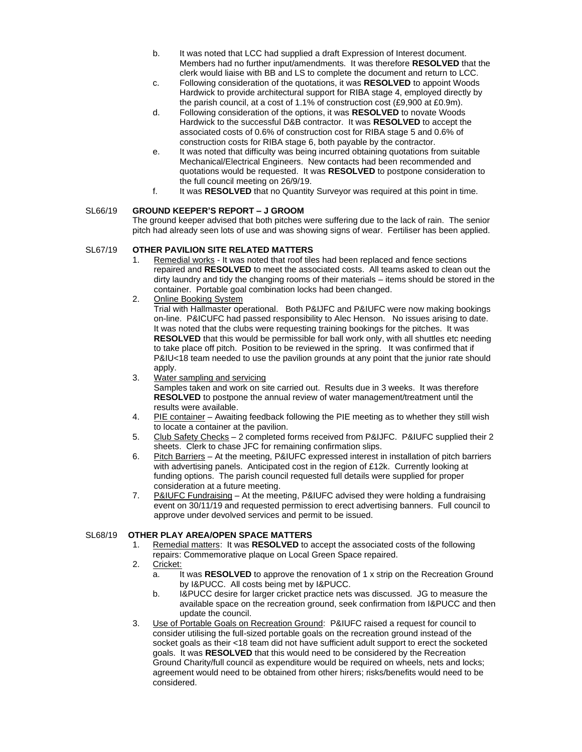- b. It was noted that LCC had supplied a draft Expression of Interest document. Members had no further input/amendments. It was therefore **RESOLVED** that the clerk would liaise with BB and LS to complete the document and return to LCC.
- c. Following consideration of the quotations, it was **RESOLVED** to appoint Woods Hardwick to provide architectural support for RIBA stage 4, employed directly by the parish council, at a cost of 1.1% of construction cost (£9,900 at £0.9m).
- d. Following consideration of the options, it was **RESOLVED** to novate Woods Hardwick to the successful D&B contractor. It was **RESOLVED** to accept the associated costs of 0.6% of construction cost for RIBA stage 5 and 0.6% of construction costs for RIBA stage 6, both payable by the contractor.
- e. It was noted that difficulty was being incurred obtaining quotations from suitable Mechanical/Electrical Engineers. New contacts had been recommended and quotations would be requested. It was **RESOLVED** to postpone consideration to the full council meeting on 26/9/19.
- f. It was **RESOLVED** that no Quantity Surveyor was required at this point in time.

# SL66/19 **GROUND KEEPER'S REPORT – J GROOM**

The ground keeper advised that both pitches were suffering due to the lack of rain. The senior pitch had already seen lots of use and was showing signs of wear. Fertiliser has been applied.

## SL67/19 **OTHER PAVILION SITE RELATED MATTERS**

- 1. Remedial works It was noted that roof tiles had been replaced and fence sections repaired and **RESOLVED** to meet the associated costs. All teams asked to clean out the dirty laundry and tidy the changing rooms of their materials – items should be stored in the container. Portable goal combination locks had been changed.
- 2. Online Booking System

Trial with Hallmaster operational. Both P&IJFC and P&IUFC were now making bookings on-line. P&ICUFC had passed responsibility to Alec Henson. No issues arising to date. It was noted that the clubs were requesting training bookings for the pitches. It was **RESOLVED** that this would be permissible for ball work only, with all shuttles etc needing to take place off pitch. Position to be reviewed in the spring. It was confirmed that if P&IU<18 team needed to use the pavilion grounds at any point that the junior rate should apply.

- 3. Water sampling and servicing Samples taken and work on site carried out. Results due in 3 weeks. It was therefore **RESOLVED** to postpone the annual review of water management/treatment until the results were available.
- 4. PIE container Awaiting feedback following the PIE meeting as to whether they still wish to locate a container at the pavilion.
- 5. Club Safety Checks 2 completed forms received from P&IJFC. P&IUFC supplied their 2 sheets. Clerk to chase JFC for remaining confirmation slips.
- 6. Pitch Barriers At the meeting, P&IUFC expressed interest in installation of pitch barriers with advertising panels. Anticipated cost in the region of £12k. Currently looking at funding options. The parish council requested full details were supplied for proper consideration at a future meeting.
- 7. P&IUFC Fundraising At the meeting, P&IUFC advised they were holding a fundraising event on 30/11/19 and requested permission to erect advertising banners. Full council to approve under devolved services and permit to be issued.

# SL68/19 **OTHER PLAY AREA/OPEN SPACE MATTERS**

- 1. Remedial matters: It was **RESOLVED** to accept the associated costs of the following repairs: Commemorative plaque on Local Green Space repaired.
- 2. Cricket:
	- a. It was **RESOLVED** to approve the renovation of 1 x strip on the Recreation Ground by I&PUCC. All costs being met by I&PUCC.
	- b. I&PUCC desire for larger cricket practice nets was discussed. JG to measure the available space on the recreation ground, seek confirmation from I&PUCC and then update the council.
- 3. Use of Portable Goals on Recreation Ground: P&IUFC raised a request for council to consider utilising the full-sized portable goals on the recreation ground instead of the socket goals as their <18 team did not have sufficient adult support to erect the socketed goals. It was **RESOLVED** that this would need to be considered by the Recreation Ground Charity/full council as expenditure would be required on wheels, nets and locks; agreement would need to be obtained from other hirers; risks/benefits would need to be considered.